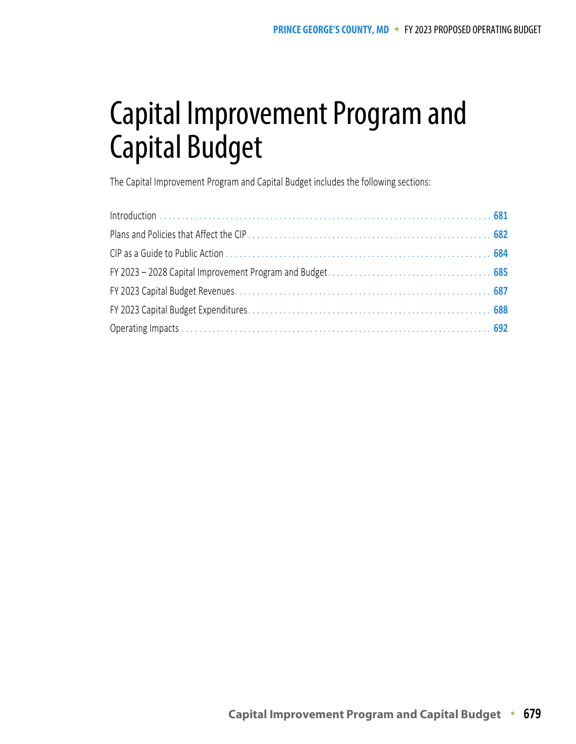# Capital Improvement Program and Capital Budget

The Capital Improvement Program and Capital Budget includes the following sections: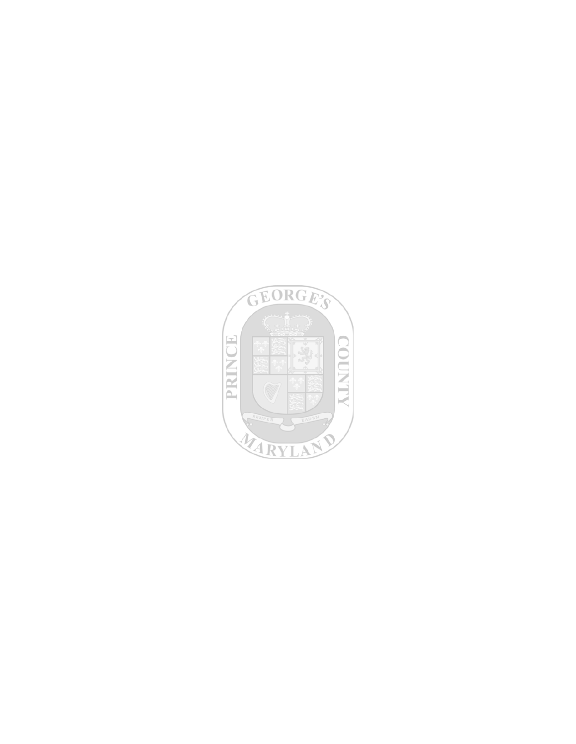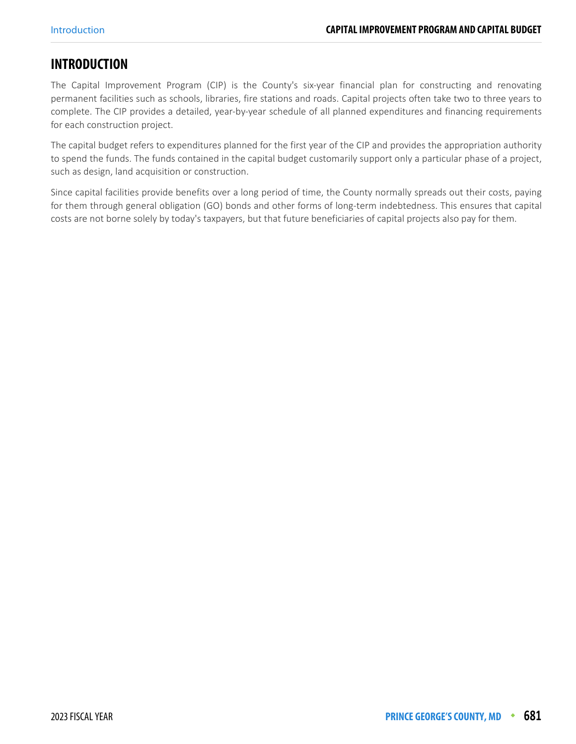# <span id="page-2-0"></span>**INTRODUCTION**

The Capital Improvement Program (CIP) is the County's six-year financial plan for constructing and renovating permanent facilities such as schools, libraries, fire stations and roads. Capital projects often take two to three years to complete. The CIP provides a detailed, year-by-year schedule of all planned expenditures and financing requirements for each construction project.

The capital budget refers to expenditures planned for the first year of the CIP and provides the appropriation authority to spend the funds. The funds contained in the capital budget customarily support only a particular phase of a project, such as design, land acquisition or construction.

Since capital facilities provide benefits over a long period of time, the County normally spreads out their costs, paying for them through general obligation (GO) bonds and other forms of long-term indebtedness. This ensures that capital costs are not borne solely by today's taxpayers, but that future beneficiaries of capital projects also pay for them.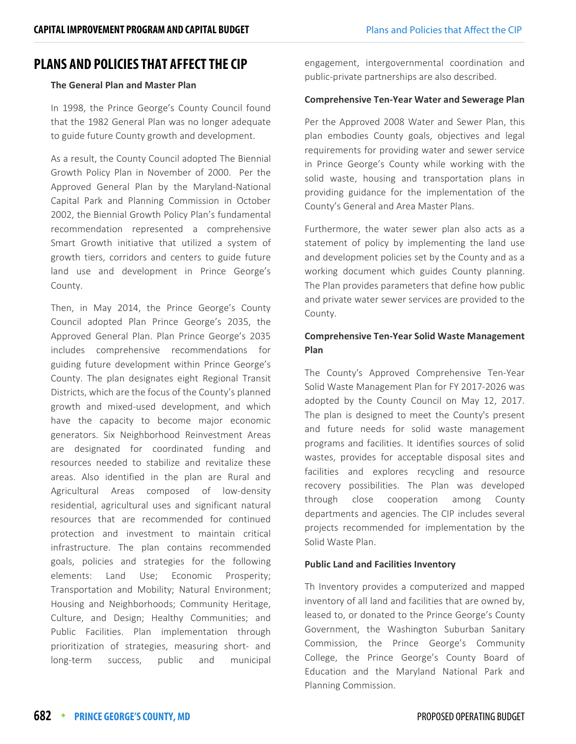## <span id="page-3-0"></span>**PLANS AND POLICIES THAT AFFECT THE CIP**

#### **The General Plan and Master Plan**

In 1998, the Prince George's County Council found that the 1982 General Plan was no longer adequate to guide future County growth and development.

As a result, the County Council adopted The Biennial Growth Policy Plan in November of 2000. Per the Approved General Plan by the Maryland-National Capital Park and Planning Commission in October 2002, the Biennial Growth Policy Plan's fundamental recommendation represented a comprehensive Smart Growth initiative that utilized a system of growth tiers, corridors and centers to guide future land use and development in Prince George's County.

Then, in May 2014, the Prince George's County Council adopted Plan Prince George's 2035, the Approved General Plan. Plan Prince George's 2035 includes comprehensive recommendations for guiding future development within Prince George's County. The plan designates eight Regional Transit Districts, which are the focus of the County's planned growth and mixed-used development, and which have the capacity to become major economic generators. Six Neighborhood Reinvestment Areas are designated for coordinated funding and resources needed to stabilize and revitalize these areas. Also identified in the plan are Rural and Agricultural Areas composed of low-density residential, agricultural uses and significant natural resources that are recommended for continued protection and investment to maintain critical infrastructure. The plan contains recommended goals, policies and strategies for the following elements: Land Use; Economic Prosperity; Transportation and Mobility; Natural Environment; Housing and Neighborhoods; Community Heritage, Culture, and Design; Healthy Communities; and Public Facilities. Plan implementation through prioritization of strategies, measuring short- and long-term success, public and municipal

engagement, intergovernmental coordination and public-private partnerships are also described.

#### **Comprehensive Ten-Year Water and Sewerage Plan**

Per the Approved 2008 Water and Sewer Plan, this plan embodies County goals, objectives and legal requirements for providing water and sewer service in Prince George's County while working with the solid waste, housing and transportation plans in providing guidance for the implementation of the County's General and Area Master Plans.

Furthermore, the water sewer plan also acts as a statement of policy by implementing the land use and development policies set by the County and as a working document which guides County planning. The Plan provides parameters that define how public and private water sewer services are provided to the County.

#### **Comprehensive Ten-Year Solid Waste Management Plan**

The County's Approved Comprehensive Ten-Year Solid Waste Management Plan for FY 2017-2026 was adopted by the County Council on May 12, 2017. The plan is designed to meet the County's present and future needs for solid waste management programs and facilities. It identifies sources of solid wastes, provides for acceptable disposal sites and facilities and explores recycling and resource recovery possibilities. The Plan was developed through close cooperation among County departments and agencies. The CIP includes several projects recommended for implementation by the Solid Waste Plan.

#### **Public Land and Facilities Inventory**

Th Inventory provides a computerized and mapped inventory of all land and facilities that are owned by, leased to, or donated to the Prince George's County Government, the Washington Suburban Sanitary Commission, the Prince George's Community College, the Prince George's County Board of Education and the Maryland National Park and Planning Commission.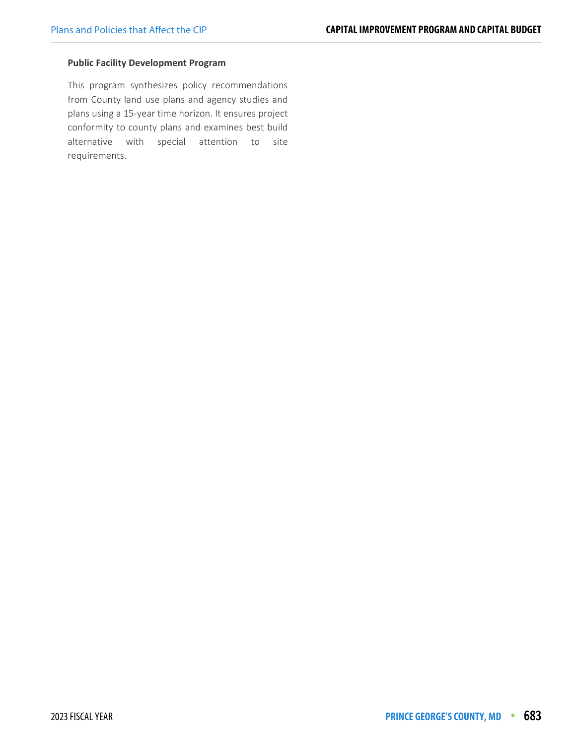#### **Public Facility Development Program**

This program synthesizes policy recommendations from County land use plans and agency studies and plans using a 15-year time horizon. It ensures project conformity to county plans and examines best build alternative with special attention to site requirements.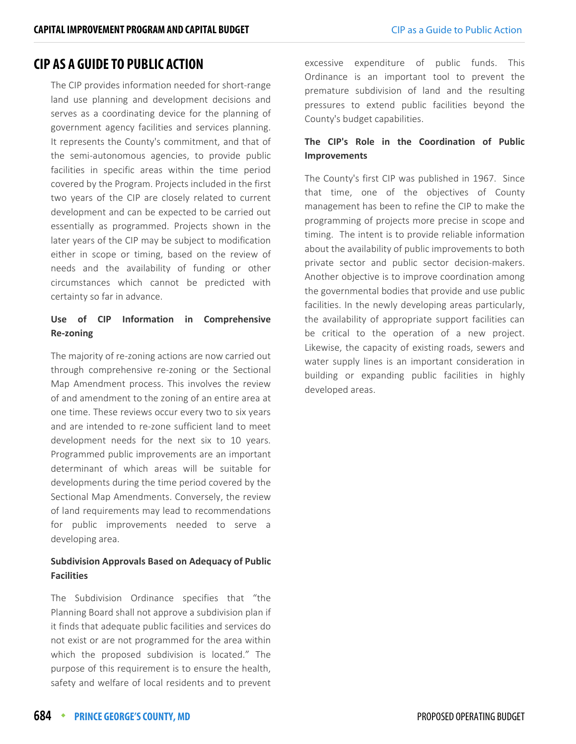## <span id="page-5-0"></span>**CIP AS A GUIDE TO PUBLIC ACTION**

The CIP provides information needed for short-range land use planning and development decisions and serves as a coordinating device for the planning of government agency facilities and services planning. It represents the County's commitment, and that of the semi-autonomous agencies, to provide public facilities in specific areas within the time period covered by the Program. Projects included in the first two years of the CIP are closely related to current development and can be expected to be carried out essentially as programmed. Projects shown in the later years of the CIP may be subject to modification either in scope or timing, based on the review of needs and the availability of funding or other circumstances which cannot be predicted with certainty so far in advance.

#### **Use of CIP Information in Comprehensive Re-zoning**

The majority of re-zoning actions are now carried out through comprehensive re-zoning or the Sectional Map Amendment process. This involves the review of and amendment to the zoning of an entire area at one time. These reviews occur every two to six years and are intended to re-zone sufficient land to meet development needs for the next six to 10 years. Programmed public improvements are an important determinant of which areas will be suitable for developments during the time period covered by the Sectional Map Amendments. Conversely, the review of land requirements may lead to recommendations for public improvements needed to serve a developing area.

#### **Subdivision Approvals Based on Adequacy of Public Facilities**

The Subdivision Ordinance specifies that "the Planning Board shall not approve a subdivision plan if it finds that adequate public facilities and services do not exist or are not programmed for the area within which the proposed subdivision is located." The purpose of this requirement is to ensure the health, safety and welfare of local residents and to prevent

excessive expenditure of public funds. This Ordinance is an important tool to prevent the premature subdivision of land and the resulting pressures to extend public facilities beyond the County's budget capabilities.

#### **The CIP's Role in the Coordination of Public Improvements**

The County's first CIP was published in 1967. Since that time, one of the objectives of County management has been to refine the CIP to make the programming of projects more precise in scope and timing. The intent is to provide reliable information about the availability of public improvements to both private sector and public sector decision-makers. Another objective is to improve coordination among the governmental bodies that provide and use public facilities. In the newly developing areas particularly, the availability of appropriate support facilities can be critical to the operation of a new project. Likewise, the capacity of existing roads, sewers and water supply lines is an important consideration in building or expanding public facilities in highly developed areas.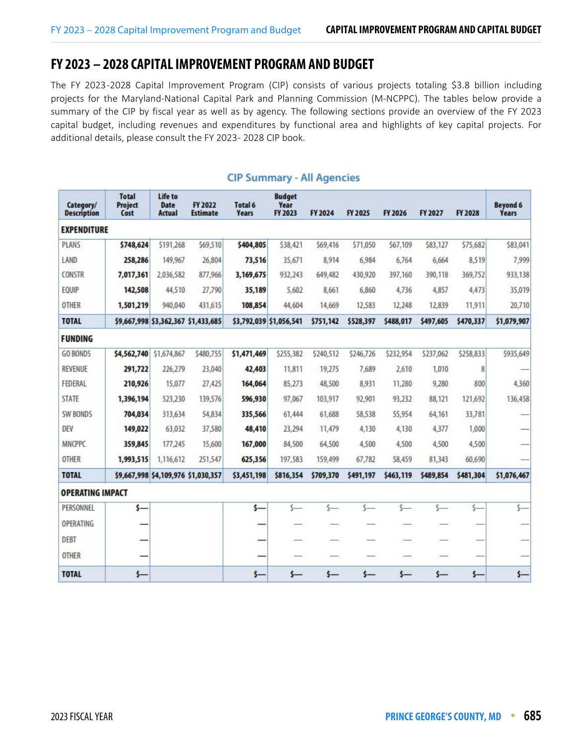## <span id="page-6-0"></span>**FY 2023 – 2028 CAPITAL IMPROVEMENT PROGRAM AND BUDGET**

The FY 2023 -2028 Capital Improvement Program (CIP) consists of various projects totaling \$3.8 billion including projects for the Maryland-National Capital Park and Planning Commission (M-NCPPC). The tables below provide a summary of the CIP by fiscal year as well as by agency. The following sections provide an overview of the FY 2023 capital budget, including revenues and expenditures by functional area and highlights of key capital projects. For additional details, please consult the FY 2023-2028 CIP book.

| Category/<br><b>Description</b> | <b>Total</b><br><b>Project</b><br>Cost | Life to<br>Date<br><b>Actual</b>    | FY 2022<br><b>Estimate</b> | <b>Total 6</b><br><b>Years</b> | <b>Budget</b><br>Year<br>FY 2023 | <b>FY 2024</b> | FY 2025       | FY 2026       | FY 2027   | FY 2028       | <b>Beyond 6</b><br><b>Years</b> |
|---------------------------------|----------------------------------------|-------------------------------------|----------------------------|--------------------------------|----------------------------------|----------------|---------------|---------------|-----------|---------------|---------------------------------|
| <b>EXPENDITURE</b>              |                                        |                                     |                            |                                |                                  |                |               |               |           |               |                                 |
| <b>PLANS</b>                    | \$748,624                              | \$191,268                           | \$69,510                   | \$404,805                      | \$38,421                         | \$69,416       | \$71,050      | \$67,109      | \$83,127  | \$75,682      | \$83,041                        |
| LAND                            | 258,286                                | 149,967                             | 26,804                     | 73,516                         | 35,671                           | 8,914          | 6,984         | 6,764         | 6,664     | 8,519         | 7,999                           |
| CONSTR                          | 7,017,361                              | 2,036,582                           | 877,966                    | 3,169,675                      | 932,243                          | 649,482        | 430,920       | 397,160       | 390,118   | 369,752       | 933,138                         |
| <b>EQUIP</b>                    | 142,508                                | 44,510                              | 27,790                     | 35,189                         | 5.602                            | 8.661          | 6,860         | 4.736         | 4,857     | 4,473         | 35,019                          |
| <b>OTHER</b>                    | 1,501,219                              | 940.040                             | 431,615                    | 108,854                        | 44,604                           | 14,669         | 12,583        | 12,248        | 12,839    | 11,911        | 20,710                          |
| <b>TOTAL</b>                    |                                        | \$9,667,998 \$3,362,367 \$1,433,685 |                            | \$3,792,039 \$1,056,541        |                                  | \$751,142      | \$528,397     | \$488,017     | \$497,605 | \$470,337     | \$1,079,907                     |
| <b>FUNDING</b>                  |                                        |                                     |                            |                                |                                  |                |               |               |           |               |                                 |
| <b>GO BONDS</b>                 | \$4,562,740                            | \$1,674,867                         | \$480,755                  | \$1,471,469                    | \$255,382                        | \$240,512      | \$246,726     | \$232.954     | \$237,062 | \$258,833     | \$935,649                       |
| <b>REVENUE</b>                  | 291.722                                | 226,279                             | 23,040                     | 42,403                         | 11,811                           | 19,275         | 7,689         | 2,610         | 1,010     | 8             |                                 |
| FEDERAL                         | 210.926                                | 15,077                              | 27,425                     | 164,064                        | 85,273                           | 48,500         | 8.931         | 11,280        | 9,280     | 800           | 4,360                           |
| STATE                           | 1.396.194                              | 523,230                             | 139,576                    | 596,930                        | 97,067                           | 103,917        | 92,901        | 93,232        | 88,121    | 121,692       | 136,458                         |
| SW BONDS                        | 704.034                                | 313,634                             | 54,834                     | 335,566                        | 61,444                           | 61,688         | 58,538        | 55,954        | 64.161    | 33,781        |                                 |
| DEV                             | 149,022                                | 63,032                              | 37,580                     | 48,410                         | 23,294                           | 11,479         | 4,130         | 4,130         | 4,377     | 1,000         |                                 |
| <b>MNCPPC</b>                   | 359,845                                | 177,245                             | 15,600                     | 167,000                        | 84,500                           | 64,500         | 4,500         | 4,500         | 4,500     | 4,500         |                                 |
| <b>OTHER</b>                    | 1,993,515                              | 1,116,612                           | 251,547                    | 625,356                        | 197,583                          | 159,499        | 67,782        | 58,459        | 81,343    | 60,690        |                                 |
| <b>TOTAL</b>                    |                                        | \$9,667,998 \$4,109,976 \$1,030,357 |                            | \$3,451,198                    | \$816,354                        | \$709,370      | \$491,197     | \$463,119     | \$489,854 | \$481,304     | \$1,076,467                     |
| <b>OPERATING IMPACT</b>         |                                        |                                     |                            |                                |                                  |                |               |               |           |               |                                 |
| PERSONNEL                       | \$.                                    |                                     |                            | \$.                            | $s-$                             | $\leftarrow$   | $\zeta$ -     | $s-$          | $\zeta$   | \$-           | $\zeta$                         |
| OPERATING                       |                                        |                                     |                            |                                |                                  |                |               |               |           |               |                                 |
| DEBT                            |                                        |                                     |                            |                                |                                  |                |               |               |           |               |                                 |
| <b>OTHER</b>                    |                                        |                                     |                            |                                |                                  |                |               |               |           |               |                                 |
| <b>TOTAL</b>                    | $\sim$                                 |                                     |                            | $s-$                           | $s-$                             | $5-$           | $\mathsf{S}-$ | $\mathsf{S}-$ | s—        | $\mathsf{S}-$ | $s-$                            |

### **CIP Summary - All Agencies**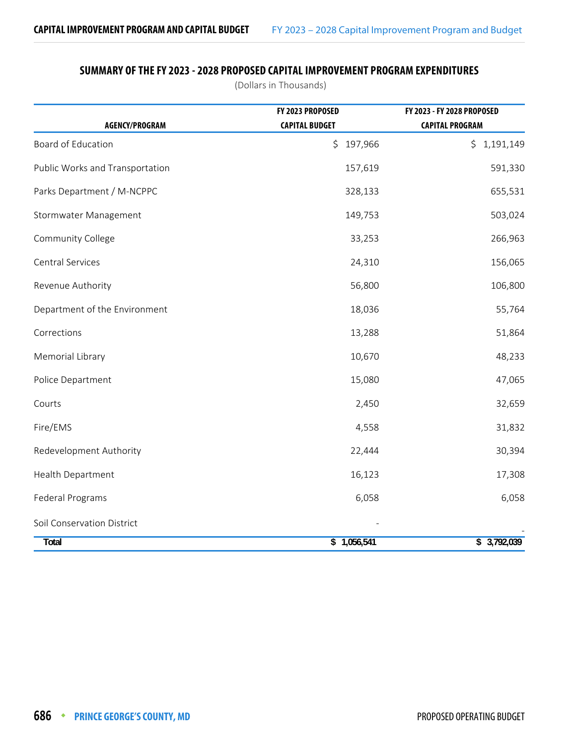#### **SUMMARY OF THE FY 2023 - 2028 PROPOSED CAPITAL IMPROVEMENT PROGRAM EXPENDITURES**

| <b>AGENCY/PROGRAM</b>           | FY 2023 PROPOSED<br><b>CAPITAL BUDGET</b> | FY 2023 - FY 2028 PROPOSED<br><b>CAPITAL PROGRAM</b> |
|---------------------------------|-------------------------------------------|------------------------------------------------------|
| Board of Education              | 197,966<br>\$                             | 1,191,149<br>\$                                      |
| Public Works and Transportation | 157,619                                   | 591,330                                              |
| Parks Department / M-NCPPC      | 328,133                                   | 655,531                                              |
| Stormwater Management           | 149,753                                   | 503,024                                              |
| Community College               | 33,253                                    | 266,963                                              |
| Central Services                | 24,310                                    | 156,065                                              |
| Revenue Authority               | 56,800                                    | 106,800                                              |
| Department of the Environment   | 18,036                                    | 55,764                                               |
| Corrections                     | 13,288                                    | 51,864                                               |
| Memorial Library                | 10,670                                    | 48,233                                               |
| Police Department               | 15,080                                    | 47,065                                               |
| Courts                          | 2,450                                     | 32,659                                               |
| Fire/EMS                        | 4,558                                     | 31,832                                               |
| Redevelopment Authority         | 22,444                                    | 30,394                                               |
| Health Department               | 16,123                                    | 17,308                                               |
| Federal Programs                | 6,058                                     | 6,058                                                |
| Soil Conservation District      |                                           |                                                      |
| <b>Total</b>                    | \$1,056,541                               | \$3,792,039                                          |

(Dollars in Thousands)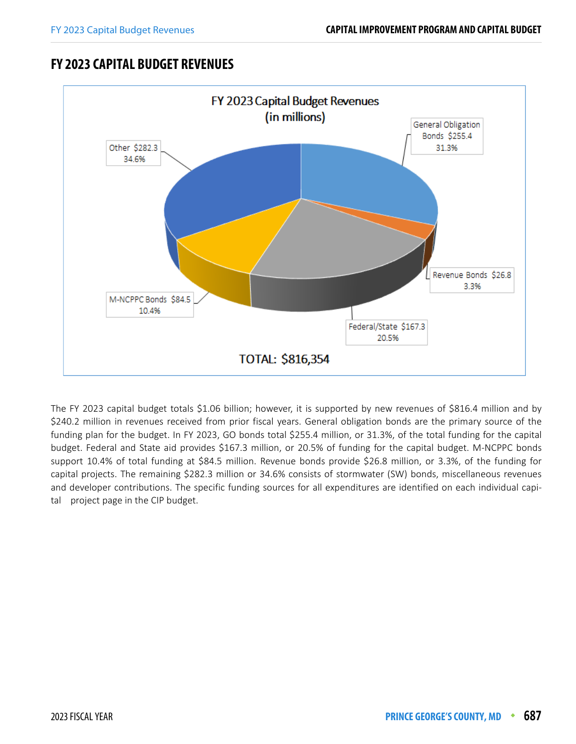# <span id="page-8-0"></span>**FY 2023 CAPITAL BUDGET REVENUES**



The FY 2023 capital budget totals \$1.06 billion; however, it is supported by new revenues of \$816.4 million and by \$240.2 million in revenues received from prior fiscal years. General obligation bonds are the primary source of the funding plan for the budget. In FY 2023, GO bonds total \$255.4 million, or 31.3%, of the total funding for the capital budget. Federal and State aid provides \$167.3 million, or 20.5% of funding for the capital budget. M-NCPPC bonds support 10.4% of total funding at \$84.5 million. Revenue bonds provide \$26.8 million, or 3.3%, of the funding for capital projects. The remaining \$282.3 million or 34.6% consists of stormwater (SW) bonds, miscellaneous revenues and developer contributions. The specific funding sources for all expenditures are identified on each individual capital project page in the CIP budget.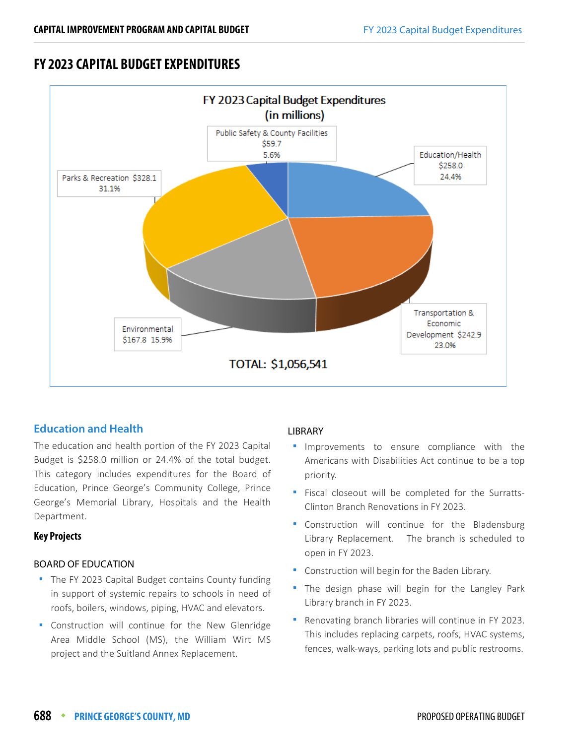# <span id="page-9-0"></span>**FY 2023 CAPITAL BUDGET EXPENDITURES**



## **Education and Health**

The education and health portion of the FY 2023 Capital Budget is \$258.0 million or 24.4% of the total budget. This category includes expenditures for the Board of Education, Prince George's Community College, Prince George's Memorial Library, Hospitals and the Health Department.

#### **Key Projects**

#### BOARD OF EDUCATION

- The FY 2023 Capital Budget contains County funding in support of systemic repairs to schools in need of roofs, boilers, windows, piping, HVAC and elevators.
- **Construction will continue for the New Glenridge** Area Middle School (MS), the William Wirt MS project and the Suitland Annex Replacement.

#### LIBRARY

- **Improvements to ensure compliance with the** Americans with Disabilities Act continue to be a top priority.
- **Fiscal closeout will be completed for the Surratts-**Clinton Branch Renovations in FY 2023.
- **Construction will continue for the Bladensburg** Library Replacement. The branch is scheduled to open in FY 2023.
- Construction will begin for the Baden Library.
- The design phase will begin for the Langley Park Library branch in FY 2023.
- **-** Renovating branch libraries will continue in FY 2023. This includes replacing carpets, roofs, HVAC systems, fences, walk-ways, parking lots and public restrooms.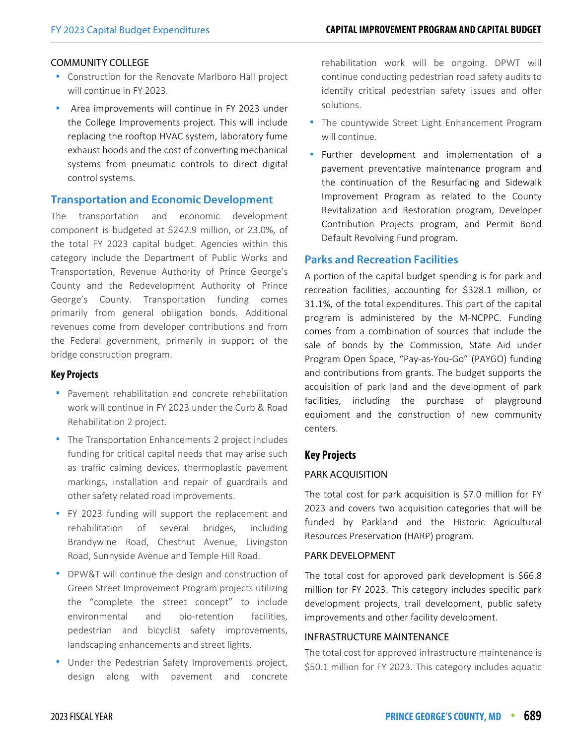#### COMMUNITY COLLEGE

- Construction for the Renovate Marlboro Hall project will continue in FY 2023.
- Area improvements will continue in FY 2023 under the College Improvements project. This will include replacing the rooftop HVAC system, laboratory fume exhaust hoods and the cost of converting mechanical systems from pneumatic controls to direct digital control systems.

#### **Transportation and Economic Development**

The transportation and economic development component is budgeted at \$242.9 million, or 23.0%, of the total FY 2023 capital budget. Agencies within this category include the Department of Public Works and Transportation, Revenue Authority of Prince George's County and the Redevelopment Authority of Prince George's County. Transportation funding comes primarily from general obligation bonds. Additional revenues come from developer contributions and from the Federal government, primarily in support of the bridge construction program.

#### **Key Projects**

- Pavement rehabilitation and concrete rehabilitation work will continue in FY 2023 under the Curb & Road Rehabilitation 2 project.
- The Transportation Enhancements 2 project includes funding for critical capital needs that may arise such as traffic calming devices, thermoplastic pavement markings, installation and repair of guardrails and other safety related road improvements.
- FY 2023 funding will support the replacement and rehabilitation of several bridges, including Brandywine Road, Chestnut Avenue, Livingston Road, Sunnyside Avenue and Temple Hill Road.
- DPW&T will continue the design and construction of Green Street Improvement Program projects utilizing the "complete the street concept" to include environmental and bio-retention facilities, pedestrian and bicyclist safety improvements, landscaping enhancements and street lights.
- **Under the Pedestrian Safety Improvements project,** design along with pavement and concrete

rehabilitation work will be ongoing. DPWT will continue conducting pedestrian road safety audits to identify critical pedestrian safety issues and offer solutions.

- The countywide Street Light Enhancement Program will continue.
- Further development and implementation of a pavement preventative maintenance program and the continuation of the Resurfacing and Sidewalk Improvement Program as related to the County Revitalization and Restoration program, Developer Contribution Projects program, and Permit Bond Default Revolving Fund program.

#### **Parks and Recreation Facilities**

A portion of the capital budget spending is for park and recreation facilities, accounting for \$328.1 million, or 31.1%, of the total expenditures. This part of the capital program is administered by the M-NCPPC. Funding comes from a combination of sources that include the sale of bonds by the Commission, State Aid under Program Open Space, "Pay-as-You-Go" (PAYGO) funding and contributions from grants. The budget supports the acquisition of park land and the development of park facilities, including the purchase of playground equipment and the construction of new community centers.

#### **Key Projects**

#### PARK ACQUISITION

The total cost for park acquisition is \$7.0 million for FY 2023 and covers two acquisition categories that will be funded by Parkland and the Historic Agricultural Resources Preservation (HARP) program.

#### PARK DEVELOPMENT

The total cost for approved park development is \$66.8 million for FY 2023. This category includes specific park development projects, trail development, public safety improvements and other facility development.

#### INFRASTRUCTURE MAINTENANCE

The total cost for approved infrastructure maintenance is \$50.1 million for FY 2023. This category includes aquatic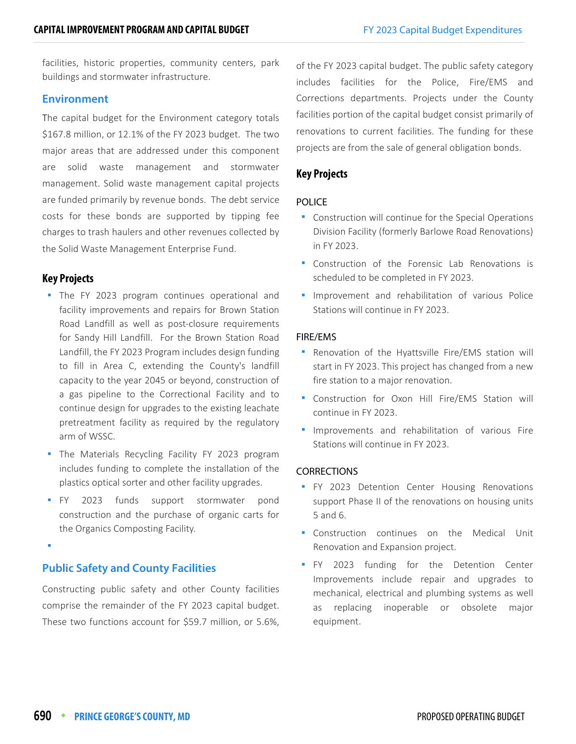facilities, historic properties, community centers, park buildings and stormwater infrastructure.

#### **Environment**

The capital budget for the Environment category totals \$167.8 million, or 12.1% of the FY 2023 budget. The two major areas that are addressed under this component are solid waste management and stormwater management. Solid waste management capital projects are funded primarily by revenue bonds. The debt service costs for these bonds are supported by tipping fee charges to trash haulers and other revenues collected by the Solid Waste Management Enterprise Fund.

#### **Key Projects**

- The FY 2023 program continues operational and facility improvements and repairs for Brown Station Road Landfill as well as post-closure requirements for Sandy Hill Landfill. For the Brown Station Road Landfill, the FY 2023 Program includes design funding to fill in Area C, extending the County's landfill capacity to the year 2045 or beyond, construction of a gas pipeline to the Correctional Facility and to continue design for upgrades to the existing leachate pretreatment facility as required by the regulatory arm of WSSC.
- The Materials Recycling Facility FY 2023 program includes funding to complete the installation of the plastics optical sorter and other facility upgrades.
- **FY** 2023 funds support stormwater pond construction and the purchase of organic carts for the Organics Composting Facility.

E

#### **Public Safety and County Facilities**

Constructing public safety and other County facilities comprise the remainder of the FY 2023 capital budget. These two functions account for \$59.7 million, or 5.6%,

of the FY 2023 capital budget. The public safety category includes facilities for the Police, Fire/EMS and Corrections departments. Projects under the County facilities portion of the capital budget consist primarily of renovations to current facilities. The funding for these projects are from the sale of general obligation bonds.

#### **Key Projects**

#### POLICE

- Construction will continue for the Special Operations Division Facility (formerly Barlowe Road Renovations) in FY 2023.
- Construction of the Forensic Lab Renovations is scheduled to be completed in FY 2023.
- **Improvement and rehabilitation of various Police** Stations will continue in FY 2023.

#### FIRE/EMS

- **-** Renovation of the Hyattsville Fire/EMS station will start in FY 2023. This project has changed from a new fire station to a major renovation.
- Construction for Oxon Hill Fire/EMS Station will continue in FY 2023.
- **Improvements and rehabilitation of various Fire** Stations will continue in FY 2023.

#### **CORRECTIONS**

- **FY 2023 Detention Center Housing Renovations** support Phase II of the renovations on housing units 5 and 6.
- Construction continues on the Medical Unit Renovation and Expansion project.
- FY 2023 funding for the Detention Center Improvements include repair and upgrades to mechanical, electrical and plumbing systems as well as replacing inoperable or obsolete major equipment.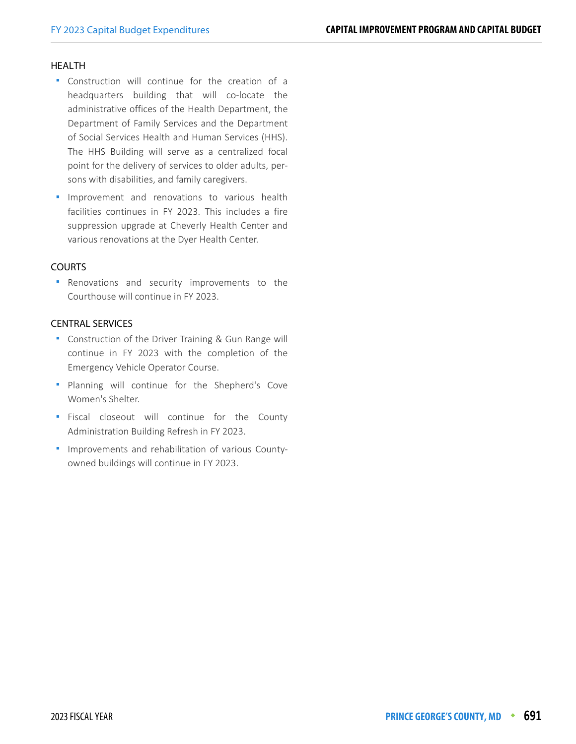#### HEALTH

- Construction will continue for the creation of a headquarters building that will co-locate the administrative offices of the Health Department, the Department of Family Services and the Department of Social Services Health and Human Services (HHS). The HHS Building will serve as a centralized focal point for the delivery of services to older adults, persons with disabilities, and family caregivers.
- **Improvement and renovations to various health** facilities continues in FY 2023. This includes a fire suppression upgrade at Cheverly Health Center and various renovations at the Dyer Health Center.

#### COURTS

**-** Renovations and security improvements to the Courthouse will continue in FY 2023.

#### CENTRAL SERVICES

- **Construction of the Driver Training & Gun Range will** continue in FY 2023 with the completion of the Emergency Vehicle Operator Course.
- **Planning will continue for the Shepherd's Cove** Women's Shelter.
- **Fiscal closeout will continue for the County** Administration Building Refresh in FY 2023.
- **IMPROVEMENTS and rehabilitation of various County**owned buildings will continue in FY 2023.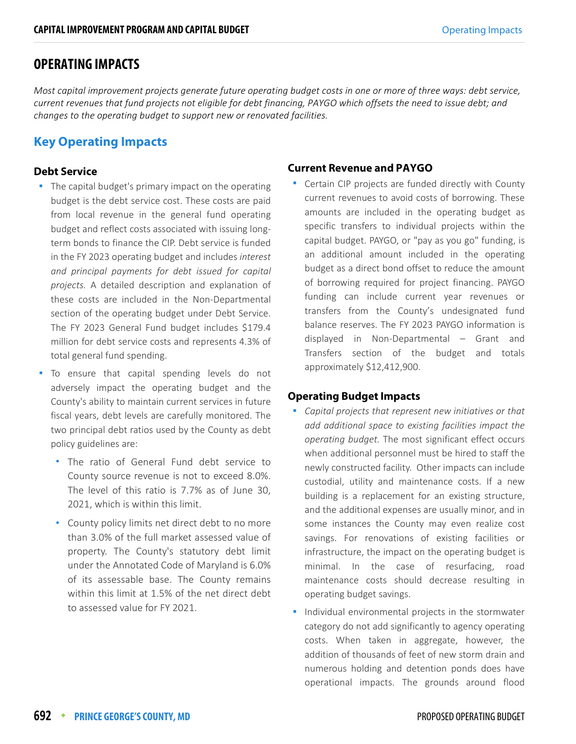## <span id="page-13-0"></span>**OPERATING IMPACTS**

*Most capital improvement projects generate future operating budget costs in one or more of three ways: debt service, current revenues that fund projects not eligible for debt financing, PAYGO which offsets the need to issue debt; and changes to the operating budget to support new or renovated facilities.* 

## **Key Operating Impacts**

#### **Debt Service**

- The capital budget's primary impact on the operating budget is the debt service cost. These costs are paid from local revenue in the general fund operating budget and reflect costs associated with issuing longterm bonds to finance the CIP. Debt service is funded in the FY 2023 operating budget and includes *interest and principal payments for debt issued for capital projects.* A detailed description and explanation of these costs are included in the Non-Departmental section of the operating budget under Debt Service. The FY 2023 General Fund budget includes \$179.4 million for debt service costs and represents 4.3% of total general fund spending.
- To ensure that capital spending levels do not adversely impact the operating budget and the County's ability to maintain current services in future fiscal years, debt levels are carefully monitored. The two principal debt ratios used by the County as debt policy guidelines are:
	- The ratio of General Fund debt service to County source revenue is not to exceed 8.0%. The level of this ratio is 7.7% as of June 30, 2021, which is within this limit.
	- County policy limits net direct debt to no more than 3.0% of the full market assessed value of property. The County's statutory debt limit under the Annotated Code of Maryland is 6.0% of its assessable base. The County remains within this limit at 1.5% of the net direct debt to assessed value for FY 2021.

#### **Current Revenue and PAYGO**

 Certain CIP projects are funded directly with County current revenues to avoid costs of borrowing. These amounts are included in the operating budget as specific transfers to individual projects within the capital budget. PAYGO, or "pay as you go" funding, is an additional amount included in the operating budget as a direct bond offset to reduce the amount of borrowing required for project financing. PAYGO funding can include current year revenues or transfers from the County's undesignated fund balance reserves. The FY 2023 PAYGO information is displayed in Non-Departmental – Grant and Transfers section of the budget and totals approximately \$12,412,900.

#### **Operating Budget Impacts**

- *Capital projects that represent new initiatives or that add additional space to existing facilities impact the operating budget.* The most significant effect occurs when additional personnel must be hired to staff the newly constructed facility. Other impacts can include custodial, utility and maintenance costs. If a new building is a replacement for an existing structure, and the additional expenses are usually minor, and in some instances the County may even realize cost savings. For renovations of existing facilities or infrastructure, the impact on the operating budget is minimal. In the case of resurfacing, road maintenance costs should decrease resulting in operating budget savings.
- **Individual environmental projects in the stormwater** category do not add significantly to agency operating costs. When taken in aggregate, however, the addition of thousands of feet of new storm drain and numerous holding and detention ponds does have operational impacts. The grounds around flood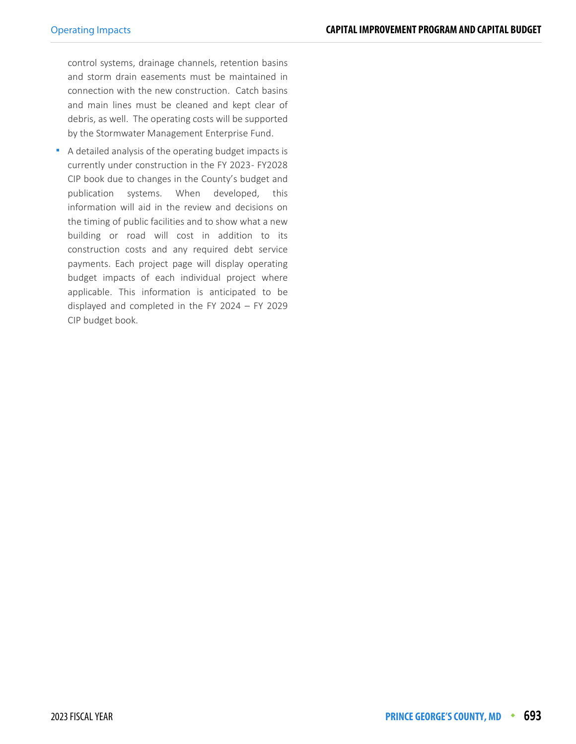control systems, drainage channels, retention basins and storm drain easements must be maintained in connection with the new construction. Catch basins and main lines must be cleaned and kept clear of debris, as well. The operating costs will be supported by the Stormwater Management Enterprise Fund.

 A detailed analysis of the operating budget impacts is currently under construction in the FY 2023 - FY2028 CIP book due to changes in the County's budget and publication systems. When developed, this information will aid in the review and decisions on the timing of public facilities and to show what a new building or road will cost in addition to its construction costs and any required debt service payments. Each project page will display operating budget impacts of each individual project where applicable. This information is anticipated to be displayed and completed in the FY 2024 – FY 2029 CIP budget book.